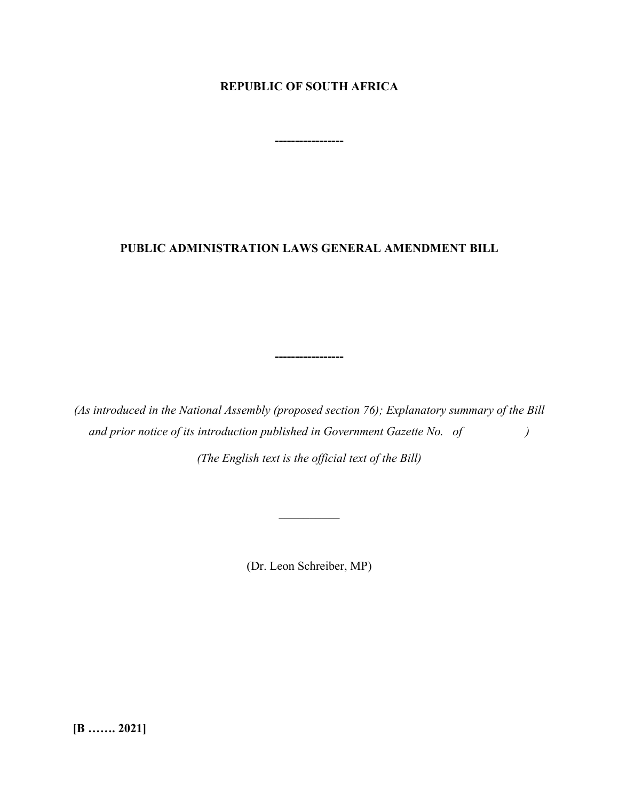## **REPUBLIC OF SOUTH AFRICA**

**-----------------**

## **PUBLIC ADMINISTRATION LAWS GENERAL AMENDMENT BILL**

*(As introduced in the National Assembly (proposed section 76); Explanatory summary of the Bill and prior notice of its introduction published in Government Gazette No. of )*

**-----------------**

*(The English text is the official text of the Bill)*

(Dr. Leon Schreiber, MP)

**[B ……. 2021]**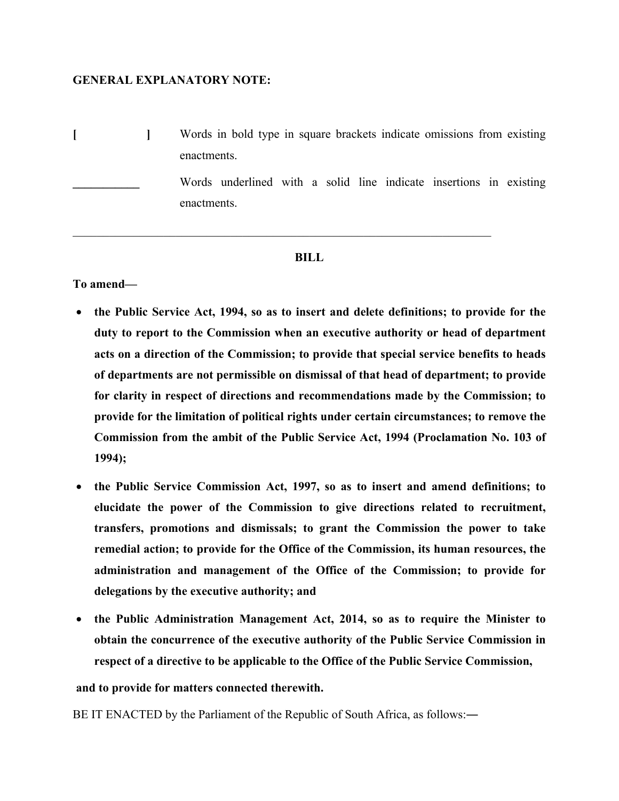#### **GENERAL EXPLANATORY NOTE:**

**[ ]** Words in bold type in square brackets indicate omissions from existing enactments.

> Words underlined with a solid line indicate insertions in existing enactments.

#### **BILL**

 $\mathcal{L}_\mathcal{L} = \mathcal{L}_\mathcal{L} = \mathcal{L}_\mathcal{L} = \mathcal{L}_\mathcal{L} = \mathcal{L}_\mathcal{L} = \mathcal{L}_\mathcal{L} = \mathcal{L}_\mathcal{L} = \mathcal{L}_\mathcal{L} = \mathcal{L}_\mathcal{L} = \mathcal{L}_\mathcal{L} = \mathcal{L}_\mathcal{L} = \mathcal{L}_\mathcal{L} = \mathcal{L}_\mathcal{L} = \mathcal{L}_\mathcal{L} = \mathcal{L}_\mathcal{L} = \mathcal{L}_\mathcal{L} = \mathcal{L}_\mathcal{L}$ 

**To amend—**

- **the Public Service Act, 1994, so as to insert and delete definitions; to provide for the duty to report to the Commission when an executive authority or head of department acts on a direction of the Commission; to provide that special service benefits to heads of departments are not permissible on dismissal of that head of department; to provide for clarity in respect of directions and recommendations made by the Commission; to provide for the limitation of political rights under certain circumstances; to remove the Commission from the ambit of the Public Service Act, 1994 (Proclamation No. 103 of 1994);**
- **the Public Service Commission Act, 1997, so as to insert and amend definitions; to elucidate the power of the Commission to give directions related to recruitment, transfers, promotions and dismissals; to grant the Commission the power to take remedial action; to provide for the Office of the Commission, its human resources, the administration and management of the Office of the Commission; to provide for delegations by the executive authority; and**
- **the Public Administration Management Act, 2014, so as to require the Minister to obtain the concurrence of the executive authority of the Public Service Commission in respect of a directive to be applicable to the Office of the Public Service Commission,**

#### **and to provide for matters connected therewith.**

BE IT ENACTED by the Parliament of the Republic of South Africa, as follows:―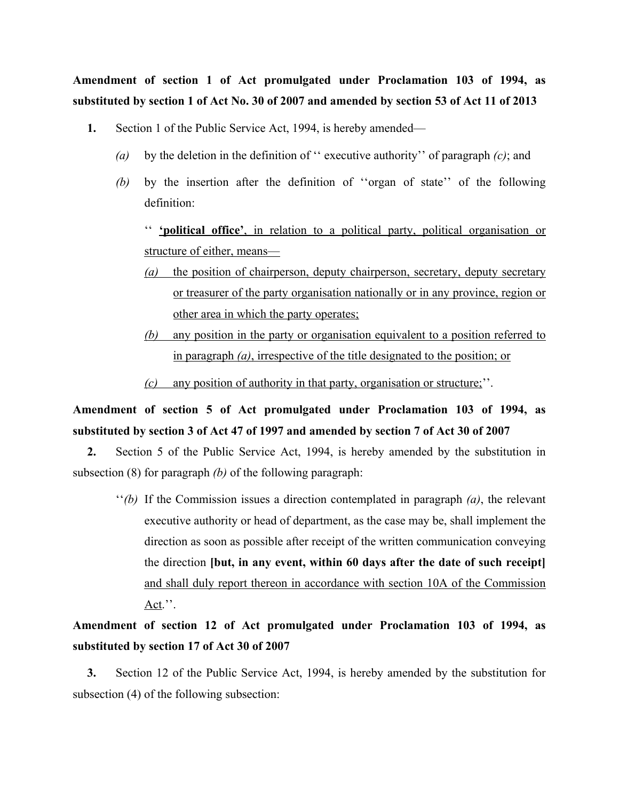**Amendment of section 1 of Act promulgated under Proclamation 103 of 1994, as substituted by section 1 of Act No. 30 of 2007 and amended by section 53 of Act 11 of 2013**

- **1.** Section 1 of the Public Service Act, 1994, is hereby amended—
	- *(a)* by the deletion in the definition of '' executive authority'' of paragraph *(c)*; and
	- *(b)* by the insertion after the definition of ''organ of state'' of the following definition:

'' **'political office'**, in relation to a political party, political organisation or structure of either, means—

- *(a)* the position of chairperson, deputy chairperson, secretary, deputy secretary or treasurer of the party organisation nationally or in any province, region or other area in which the party operates;
- *(b)* any position in the party or organisation equivalent to a position referred to in paragraph *(a)*, irrespective of the title designated to the position; or
- *(c)* any position of authority in that party, organisation or structure;''.

# **Amendment of section 5 of Act promulgated under Proclamation 103 of 1994, as substituted by section 3 of Act 47 of 1997 and amended by section 7 of Act 30 of 2007**

**2.** Section 5 of the Public Service Act, 1994, is hereby amended by the substitution in subsection (8) for paragraph *(b)* of the following paragraph:

''*(b)* If the Commission issues a direction contemplated in paragraph *(a)*, the relevant executive authority or head of department, as the case may be, shall implement the direction as soon as possible after receipt of the written communication conveying the direction **[but, in any event, within 60 days after the date of such receipt]** and shall duly report thereon in accordance with section 10A of the Commission Act.''.

**Amendment of section 12 of Act promulgated under Proclamation 103 of 1994, as substituted by section 17 of Act 30 of 2007**

**3.** Section 12 of the Public Service Act, 1994, is hereby amended by the substitution for subsection (4) of the following subsection: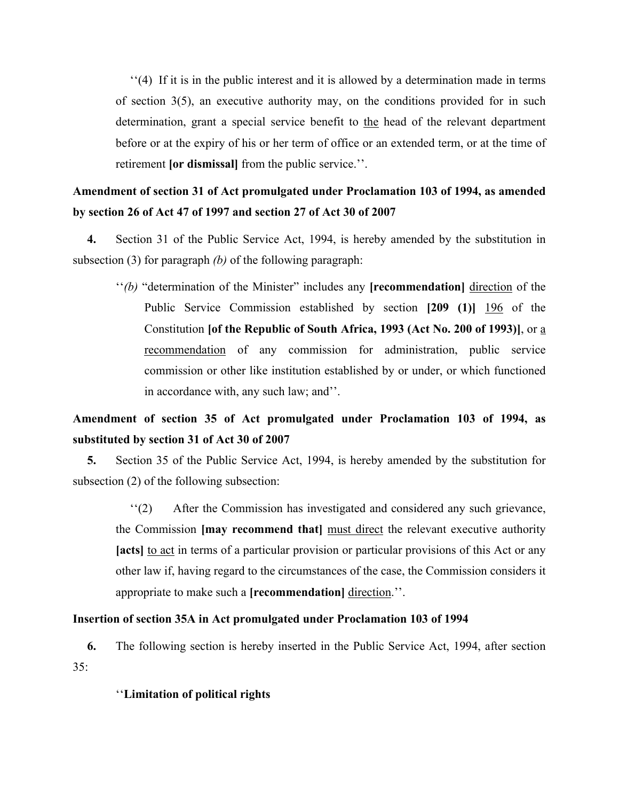''(4) If it is in the public interest and it is allowed by a determination made in terms of section 3(5), an executive authority may, on the conditions provided for in such determination, grant a special service benefit to the head of the relevant department before or at the expiry of his or her term of office or an extended term, or at the time of retirement **[or dismissal]** from the public service.''.

## **Amendment of section 31 of Act promulgated under Proclamation 103 of 1994, as amended by section 26 of Act 47 of 1997 and section 27 of Act 30 of 2007**

**4.** Section 31 of the Public Service Act, 1994, is hereby amended by the substitution in subsection (3) for paragraph *(b)* of the following paragraph:

''*(b)* "determination of the Minister" includes any **[recommendation]** direction of the Public Service Commission established by section **[209 (1)]** 196 of the Constitution **[of the Republic of South Africa, 1993 (Act No. 200 of 1993)]**, or a recommendation of any commission for administration, public service commission or other like institution established by or under, or which functioned in accordance with, any such law; and''.

## **Amendment of section 35 of Act promulgated under Proclamation 103 of 1994, as substituted by section 31 of Act 30 of 2007**

**5.** Section 35 of the Public Service Act, 1994, is hereby amended by the substitution for subsection (2) of the following subsection:

''(2) After the Commission has investigated and considered any such grievance, the Commission **[may recommend that]** must direct the relevant executive authority **[acts]** to act in terms of a particular provision or particular provisions of this Act or any other law if, having regard to the circumstances of the case, the Commission considers it appropriate to make such a **[recommendation]** direction.''.

### **Insertion of section 35A in Act promulgated under Proclamation 103 of 1994**

**6.** The following section is hereby inserted in the Public Service Act, 1994, after section 35:

#### ''**Limitation of political rights**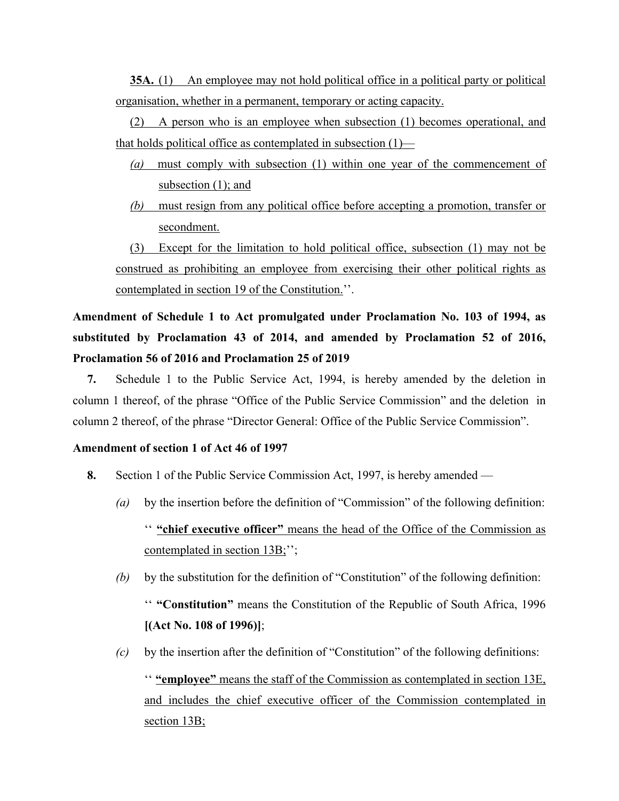**35A.** (1) An employee may not hold political office in a political party or political organisation, whether in a permanent, temporary or acting capacity.

(2) A person who is an employee when subsection (1) becomes operational, and that holds political office as contemplated in subsection  $(1)$ —

- *(a)* must comply with subsection (1) within one year of the commencement of subsection (1); and
- *(b)* must resign from any political office before accepting a promotion, transfer or secondment.

(3) Except for the limitation to hold political office, subsection (1) may not be construed as prohibiting an employee from exercising their other political rights as contemplated in section 19 of the Constitution.''.

# **Amendment of Schedule 1 to Act promulgated under Proclamation No. 103 of 1994, as substituted by Proclamation 43 of 2014, and amended by Proclamation 52 of 2016, Proclamation 56 of 2016 and Proclamation 25 of 2019**

**7.** Schedule 1 to the Public Service Act, 1994, is hereby amended by the deletion in column 1 thereof, of the phrase "Office of the Public Service Commission" and the deletion in column 2 thereof, of the phrase "Director General: Office of the Public Service Commission".

#### **Amendment of section 1 of Act 46 of 1997**

- **8.** Section 1 of the Public Service Commission Act, 1997, is hereby amended
	- *(a)* by the insertion before the definition of "Commission" of the following definition: '' **"chief executive officer"** means the head of the Office of the Commission as contemplated in section 13B;";
	- *(b)* by the substitution for the definition of "Constitution" of the following definition: '' **"Constitution"** means the Constitution of the Republic of South Africa, 1996 **[(Act No. 108 of 1996)]**;
	- *(c)* by the insertion after the definition of "Constitution" of the following definitions: '' **"employee"** means the staff of the Commission as contemplated in section 13E, and includes the chief executive officer of the Commission contemplated in section 13B;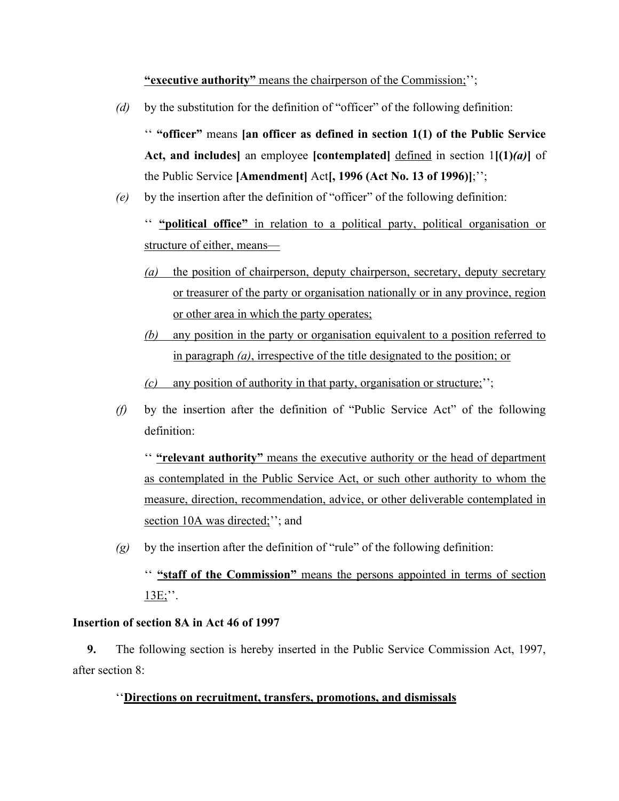**"executive authority"** means the chairperson of the Commission;'';

*(d)* by the substitution for the definition of "officer" of the following definition:

'' **"officer"** means **[an officer as defined in section 1(1) of the Public Service Act, and includes]** an employee **[contemplated]** defined in section 1**[(1)***(a)***]** of the Public Service **[Amendment]** Act**[, 1996 (Act No. 13 of 1996)]**;'';

*(e)* by the insertion after the definition of "officer" of the following definition:

'' **"political office"** in relation to a political party, political organisation or structure of either, means—

- *(a)* the position of chairperson, deputy chairperson, secretary, deputy secretary or treasurer of the party or organisation nationally or in any province, region or other area in which the party operates;
- *(b)* any position in the party or organisation equivalent to a position referred to in paragraph *(a)*, irrespective of the title designated to the position; or

*(c)* any position of authority in that party, organisation or structure;'';

*(f)* by the insertion after the definition of "Public Service Act" of the following definition:

'' **"relevant authority"** means the executive authority or the head of department as contemplated in the Public Service Act, or such other authority to whom the measure, direction, recommendation, advice, or other deliverable contemplated in section 10A was directed;"; and

*(g)* by the insertion after the definition of "rule" of the following definition:

'' **"staff of the Commission"** means the persons appointed in terms of section  $13E$ ;".

## **Insertion of section 8A in Act 46 of 1997**

**9.** The following section is hereby inserted in the Public Service Commission Act, 1997, after section 8:

## ''**Directions on recruitment, transfers, promotions, and dismissals**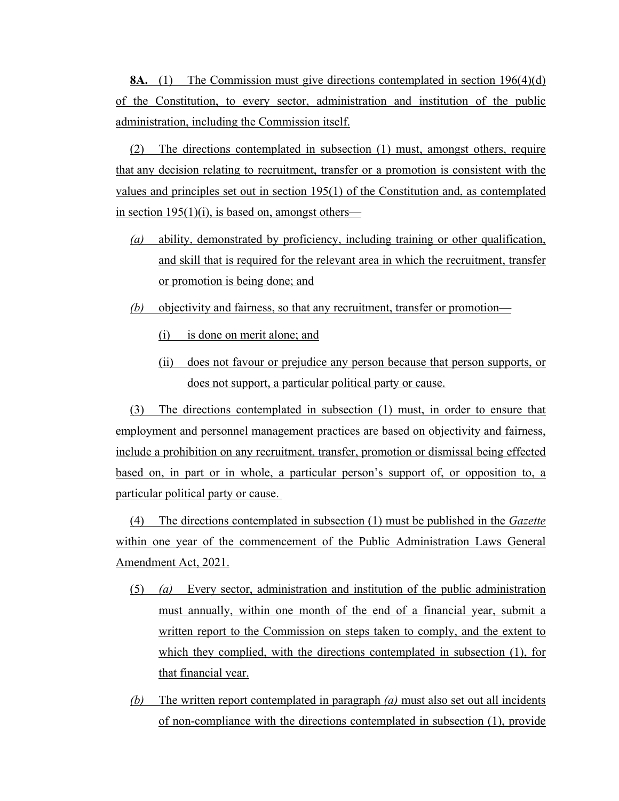**8A.** (1) The Commission must give directions contemplated in section 196(4)(d) of the Constitution, to every sector, administration and institution of the public administration, including the Commission itself.

(2) The directions contemplated in subsection (1) must, amongst others, require that any decision relating to recruitment, transfer or a promotion is consistent with the values and principles set out in section 195(1) of the Constitution and, as contemplated in section  $195(1)(i)$ , is based on, amongst others—

- *(a)* ability, demonstrated by proficiency, including training or other qualification, and skill that is required for the relevant area in which the recruitment, transfer or promotion is being done; and
- *(b)* objectivity and fairness, so that any recruitment, transfer or promotion—
	- (i) is done on merit alone; and
	- (ii) does not favour or prejudice any person because that person supports, or does not support, a particular political party or cause.

(3) The directions contemplated in subsection (1) must, in order to ensure that employment and personnel management practices are based on objectivity and fairness, include a prohibition on any recruitment, transfer, promotion or dismissal being effected based on, in part or in whole, a particular person's support of, or opposition to, a particular political party or cause.

(4) The directions contemplated in subsection (1) must be published in the *Gazette* within one year of the commencement of the Public Administration Laws General Amendment Act, 2021.

- (5) *(a)* Every sector, administration and institution of the public administration must annually, within one month of the end of a financial year, submit a written report to the Commission on steps taken to comply, and the extent to which they complied, with the directions contemplated in subsection (1), for that financial year.
- *(b)* The written report contemplated in paragraph *(a)* must also set out all incidents of non-compliance with the directions contemplated in subsection (1), provide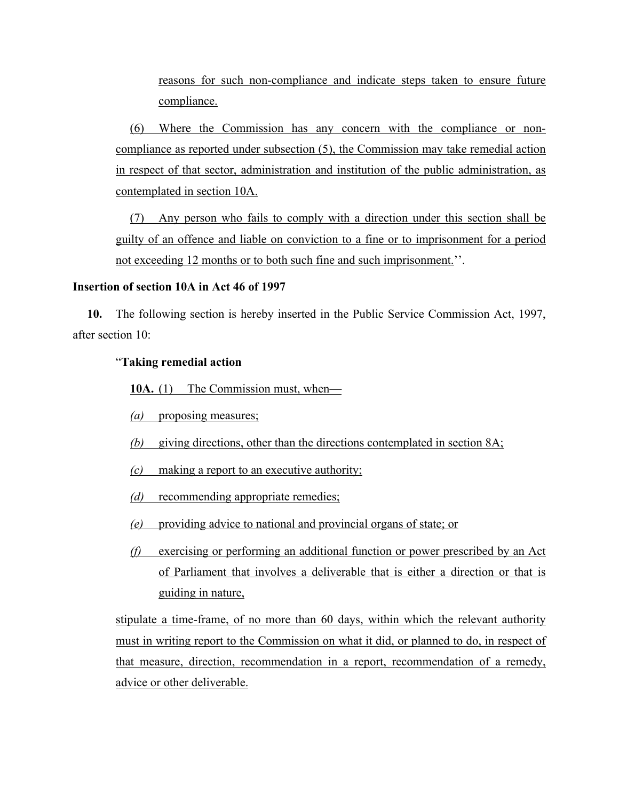reasons for such non-compliance and indicate steps taken to ensure future compliance.

(6) Where the Commission has any concern with the compliance or noncompliance as reported under subsection (5), the Commission may take remedial action in respect of that sector, administration and institution of the public administration, as contemplated in section 10A.

(7) Any person who fails to comply with a direction under this section shall be guilty of an offence and liable on conviction to a fine or to imprisonment for a period not exceeding 12 months or to both such fine and such imprisonment.''.

### **Insertion of section 10A in Act 46 of 1997**

**10.** The following section is hereby inserted in the Public Service Commission Act, 1997, after section 10:

## "**Taking remedial action**

10A. (1) The Commission must, when—

*(a)* proposing measures;

- *(b)* giving directions, other than the directions contemplated in section 8A;
- *(c)* making a report to an executive authority;
- *(d)* recommending appropriate remedies;
- *(e)* providing advice to national and provincial organs of state; or
- *(f)* exercising or performing an additional function or power prescribed by an Act of Parliament that involves a deliverable that is either a direction or that is guiding in nature,

stipulate a time-frame, of no more than 60 days, within which the relevant authority must in writing report to the Commission on what it did, or planned to do, in respect of that measure, direction, recommendation in a report, recommendation of a remedy, advice or other deliverable.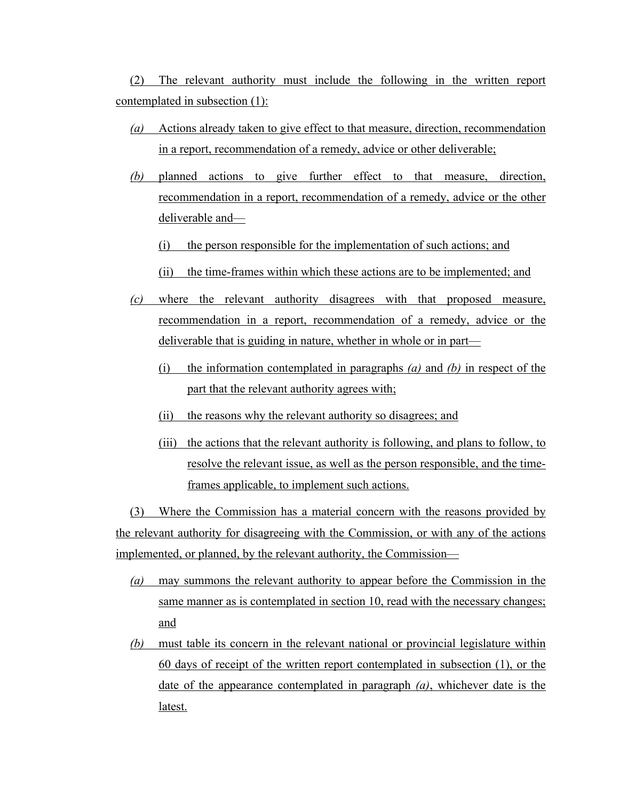(2) The relevant authority must include the following in the written report contemplated in subsection (1):

- *(a)* Actions already taken to give effect to that measure, direction, recommendation in a report, recommendation of a remedy, advice or other deliverable;
- *(b)* planned actions to give further effect to that measure, direction, recommendation in a report, recommendation of a remedy, advice or the other deliverable and—
	- (i) the person responsible for the implementation of such actions; and
	- (ii) the time-frames within which these actions are to be implemented; and
- *(c)* where the relevant authority disagrees with that proposed measure, recommendation in a report, recommendation of a remedy, advice or the deliverable that is guiding in nature, whether in whole or in part—
	- (i) the information contemplated in paragraphs *(a)* and *(b)* in respect of the part that the relevant authority agrees with;
	- (ii) the reasons why the relevant authority so disagrees; and
	- (iii) the actions that the relevant authority is following, and plans to follow, to resolve the relevant issue, as well as the person responsible, and the timeframes applicable, to implement such actions.

(3) Where the Commission has a material concern with the reasons provided by the relevant authority for disagreeing with the Commission, or with any of the actions implemented, or planned, by the relevant authority, the Commission—

- *(a)* may summons the relevant authority to appear before the Commission in the same manner as is contemplated in section 10, read with the necessary changes; and
- *(b)* must table its concern in the relevant national or provincial legislature within 60 days of receipt of the written report contemplated in subsection (1), or the date of the appearance contemplated in paragraph *(a)*, whichever date is the latest.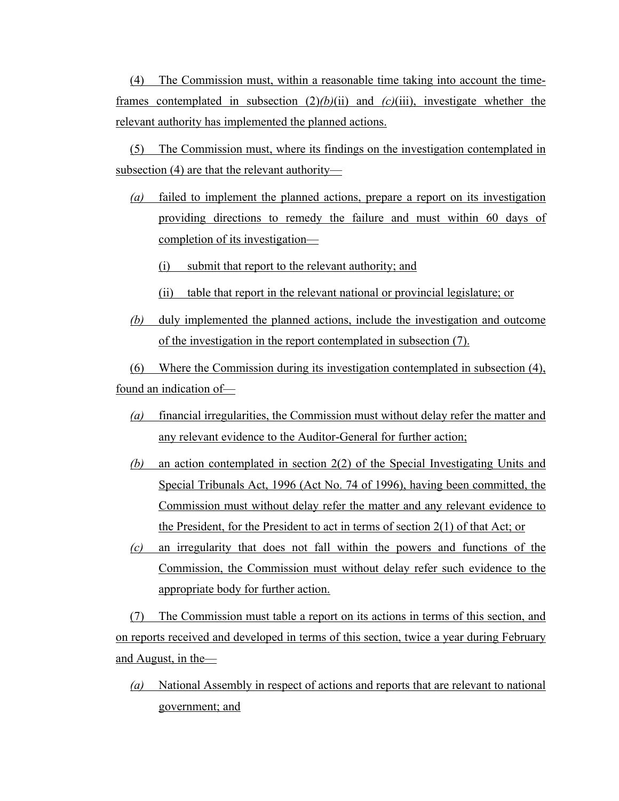(4) The Commission must, within a reasonable time taking into account the timeframes contemplated in subsection  $(2)(b)(ii)$  and  $(c)(iii)$ , investigate whether the relevant authority has implemented the planned actions.

(5) The Commission must, where its findings on the investigation contemplated in subsection (4) are that the relevant authority—

- *(a)* failed to implement the planned actions, prepare a report on its investigation providing directions to remedy the failure and must within 60 days of completion of its investigation—
	- (i) submit that report to the relevant authority; and
	- (ii) table that report in the relevant national or provincial legislature; or
- *(b)* duly implemented the planned actions, include the investigation and outcome of the investigation in the report contemplated in subsection (7).

(6) Where the Commission during its investigation contemplated in subsection (4), found an indication of—

- *(a)* financial irregularities, the Commission must without delay refer the matter and any relevant evidence to the Auditor-General for further action;
- *(b)* an action contemplated in section 2(2) of the Special Investigating Units and Special Tribunals Act, 1996 (Act No. 74 of 1996), having been committed, the Commission must without delay refer the matter and any relevant evidence to the President, for the President to act in terms of section 2(1) of that Act; or
- *(c)* an irregularity that does not fall within the powers and functions of the Commission, the Commission must without delay refer such evidence to the appropriate body for further action.

(7) The Commission must table a report on its actions in terms of this section, and on reports received and developed in terms of this section, twice a year during February and August, in the—

*(a)* National Assembly in respect of actions and reports that are relevant to national government; and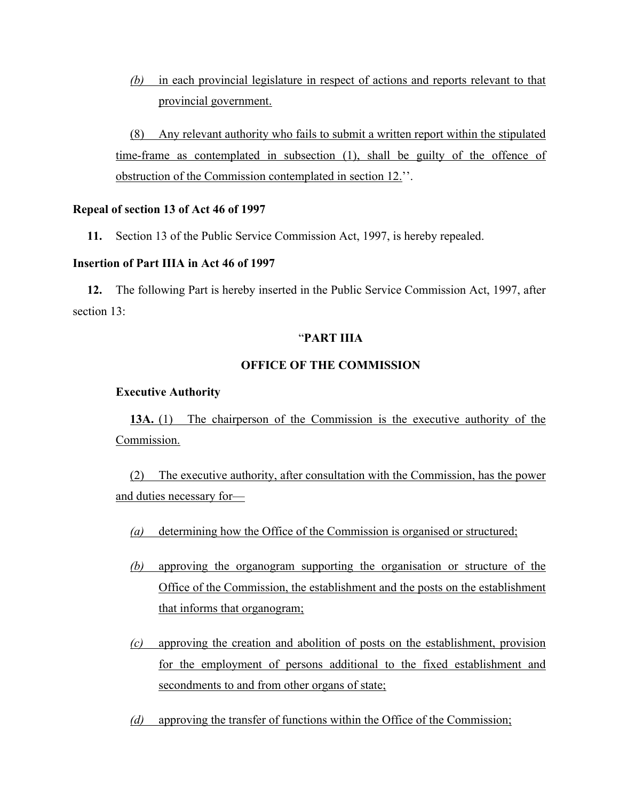*(b)* in each provincial legislature in respect of actions and reports relevant to that provincial government.

(8) Any relevant authority who fails to submit a written report within the stipulated time-frame as contemplated in subsection (1), shall be guilty of the offence of obstruction of the Commission contemplated in section 12.''.

### **Repeal of section 13 of Act 46 of 1997**

**11.** Section 13 of the Public Service Commission Act, 1997, is hereby repealed.

### **Insertion of Part IIIA in Act 46 of 1997**

**12.** The following Part is hereby inserted in the Public Service Commission Act, 1997, after section 13:

#### "**PART IIIA**

### **OFFICE OF THE COMMISSION**

#### **Executive Authority**

**13A.** (1) The chairperson of the Commission is the executive authority of the Commission.

(2) The executive authority, after consultation with the Commission, has the power and duties necessary for—

- *(a)* determining how the Office of the Commission is organised or structured;
- *(b)* approving the organogram supporting the organisation or structure of the Office of the Commission, the establishment and the posts on the establishment that informs that organogram;
- *(c)* approving the creation and abolition of posts on the establishment, provision for the employment of persons additional to the fixed establishment and secondments to and from other organs of state;
- *(d)* approving the transfer of functions within the Office of the Commission;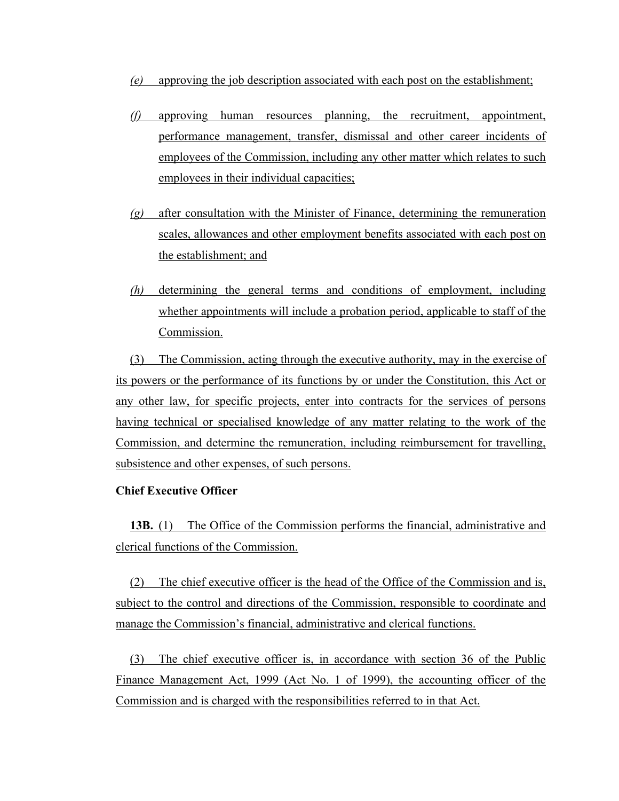- *(e)* approving the job description associated with each post on the establishment;
- *(f)* approving human resources planning, the recruitment, appointment, performance management, transfer, dismissal and other career incidents of employees of the Commission, including any other matter which relates to such employees in their individual capacities;
- *(g)* after consultation with the Minister of Finance, determining the remuneration scales, allowances and other employment benefits associated with each post on the establishment; and
- *(h)* determining the general terms and conditions of employment, including whether appointments will include a probation period, applicable to staff of the Commission.

(3) The Commission, acting through the executive authority, may in the exercise of its powers or the performance of its functions by or under the Constitution, this Act or any other law, for specific projects, enter into contracts for the services of persons having technical or specialised knowledge of any matter relating to the work of the Commission, and determine the remuneration, including reimbursement for travelling, subsistence and other expenses, of such persons.

## **Chief Executive Officer**

**13B.** (1) The Office of the Commission performs the financial, administrative and clerical functions of the Commission.

(2) The chief executive officer is the head of the Office of the Commission and is, subject to the control and directions of the Commission, responsible to coordinate and manage the Commission's financial, administrative and clerical functions.

(3) The chief executive officer is, in accordance with section 36 of the Public Finance Management Act, 1999 (Act No. 1 of 1999), the accounting officer of the Commission and is charged with the responsibilities referred to in that Act.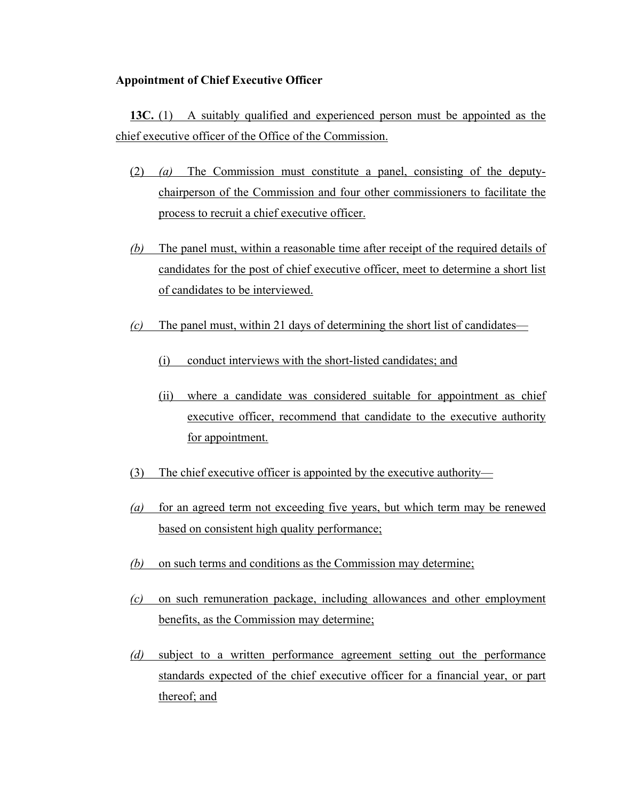#### **Appointment of Chief Executive Officer**

**13C.** (1) A suitably qualified and experienced person must be appointed as the chief executive officer of the Office of the Commission.

- (2) *(a)* The Commission must constitute a panel, consisting of the deputychairperson of the Commission and four other commissioners to facilitate the process to recruit a chief executive officer.
- *(b)* The panel must, within a reasonable time after receipt of the required details of candidates for the post of chief executive officer, meet to determine a short list of candidates to be interviewed.
- *(c)* The panel must, within 21 days of determining the short list of candidates—
	- (i) conduct interviews with the short-listed candidates; and
	- (ii) where a candidate was considered suitable for appointment as chief executive officer, recommend that candidate to the executive authority for appointment.
- (3) The chief executive officer is appointed by the executive authority—
- *(a)* for an agreed term not exceeding five years, but which term may be renewed based on consistent high quality performance;
- *(b)* on such terms and conditions as the Commission may determine;
- *(c)* on such remuneration package, including allowances and other employment benefits, as the Commission may determine;
- *(d)* subject to a written performance agreement setting out the performance standards expected of the chief executive officer for a financial year, or part thereof; and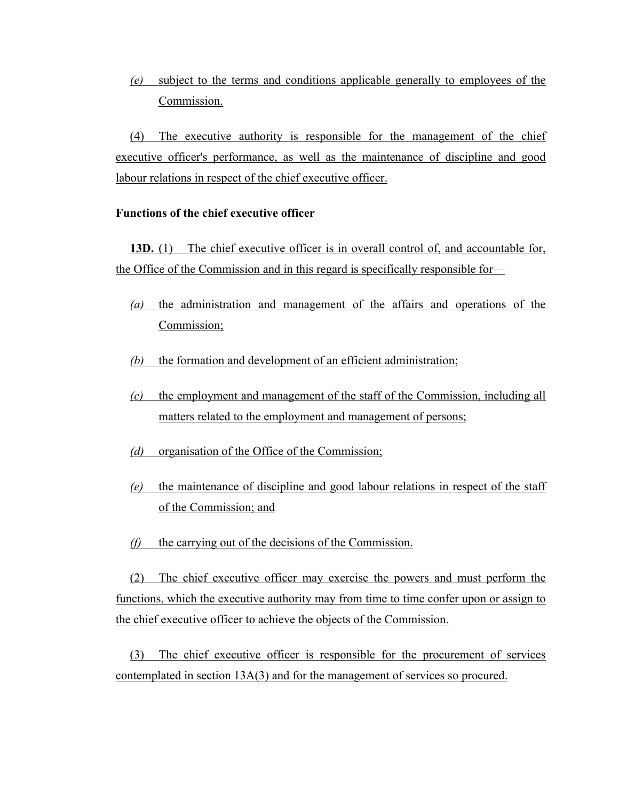*(e)* subject to the terms and conditions applicable generally to employees of the Commission.

(4) The executive authority is responsible for the management of the chief executive officer's performance, as well as the maintenance of discipline and good labour relations in respect of the chief executive officer.

#### **Functions of the chief executive officer**

**13D.** (1) The chief executive officer is in overall control of, and accountable for, the Office of the Commission and in this regard is specifically responsible for—

- *(a)* the administration and management of the affairs and operations of the Commission;
- *(b)* the formation and development of an efficient administration;
- *(c)* the employment and management of the staff of the Commission, including all matters related to the employment and management of persons;
- *(d)* organisation of the Office of the Commission;
- *(e)* the maintenance of discipline and good labour relations in respect of the staff of the Commission; and
- *(f)* the carrying out of the decisions of the Commission.

(2) The chief executive officer may exercise the powers and must perform the functions, which the executive authority may from time to time confer upon or assign to the chief executive officer to achieve the objects of the Commission.

(3) The chief executive officer is responsible for the procurement of services contemplated in section 13A(3) and for the management of services so procured.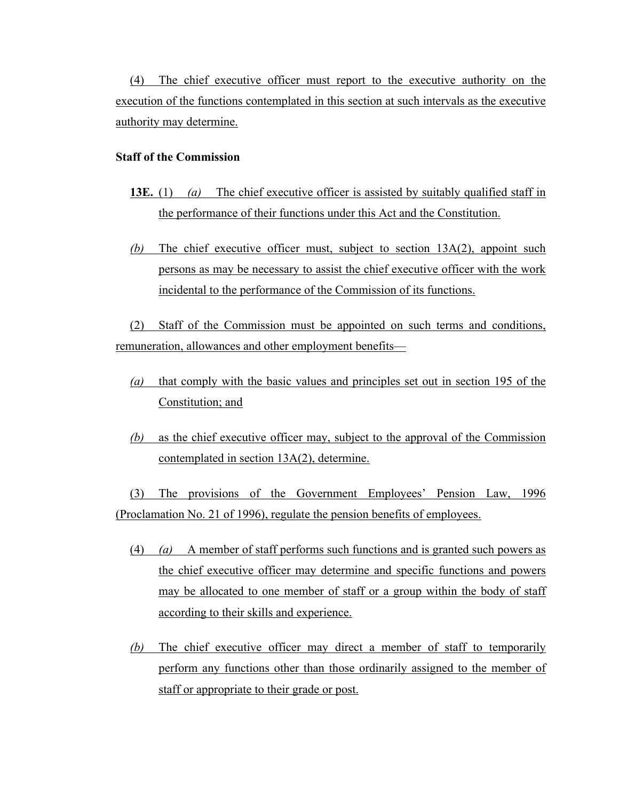(4) The chief executive officer must report to the executive authority on the execution of the functions contemplated in this section at such intervals as the executive authority may determine.

## **Staff of the Commission**

- **13E.** (1) *(a)* The chief executive officer is assisted by suitably qualified staff in the performance of their functions under this Act and the Constitution.
- *(b)* The chief executive officer must, subject to section 13A(2), appoint such persons as may be necessary to assist the chief executive officer with the work incidental to the performance of the Commission of its functions.

(2) Staff of the Commission must be appointed on such terms and conditions, remuneration, allowances and other employment benefits—

- *(a)* that comply with the basic values and principles set out in section 195 of the Constitution; and
- *(b)* as the chief executive officer may, subject to the approval of the Commission contemplated in section 13A(2), determine.

(3) The provisions of the Government Employees' Pension Law, 1996 (Proclamation No. 21 of 1996), regulate the pension benefits of employees.

- (4) *(a)* A member of staff performs such functions and is granted such powers as the chief executive officer may determine and specific functions and powers may be allocated to one member of staff or a group within the body of staff according to their skills and experience.
- *(b)* The chief executive officer may direct a member of staff to temporarily perform any functions other than those ordinarily assigned to the member of staff or appropriate to their grade or post.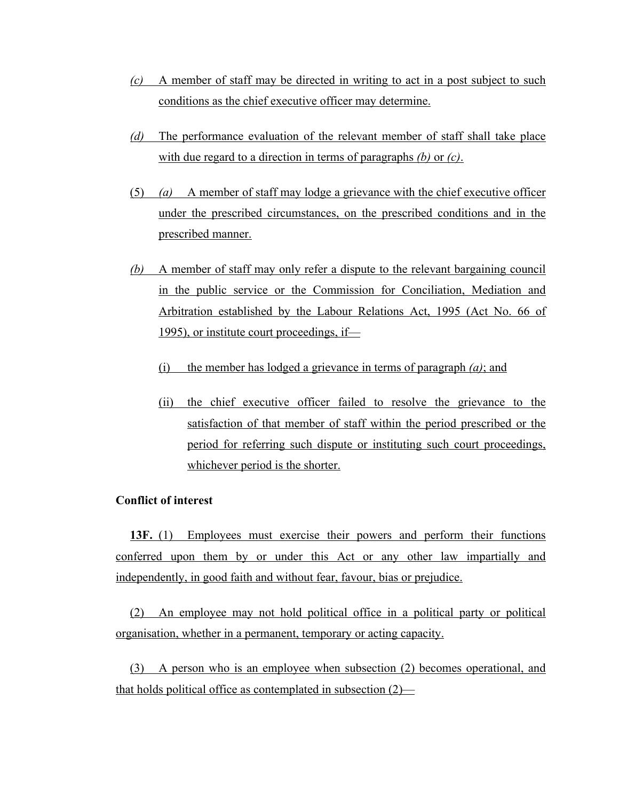- *(c)* A member of staff may be directed in writing to act in a post subject to such conditions as the chief executive officer may determine.
- *(d)* The performance evaluation of the relevant member of staff shall take place with due regard to a direction in terms of paragraphs *(b)* or *(c)*.
- (5) *(a)* A member of staff may lodge a grievance with the chief executive officer under the prescribed circumstances, on the prescribed conditions and in the prescribed manner.
- *(b)* A member of staff may only refer a dispute to the relevant bargaining council in the public service or the Commission for Conciliation, Mediation and Arbitration established by the Labour Relations Act, 1995 (Act No. 66 of 1995), or institute court proceedings, if—
	- (i) the member has lodged a grievance in terms of paragraph *(a)*; and
	- (ii) the chief executive officer failed to resolve the grievance to the satisfaction of that member of staff within the period prescribed or the period for referring such dispute or instituting such court proceedings, whichever period is the shorter.

## **Conflict of interest**

**13F.** (1) Employees must exercise their powers and perform their functions conferred upon them by or under this Act or any other law impartially and independently, in good faith and without fear, favour, bias or prejudice.

(2) An employee may not hold political office in a political party or political organisation, whether in a permanent, temporary or acting capacity.

(3) A person who is an employee when subsection (2) becomes operational, and that holds political office as contemplated in subsection (2)—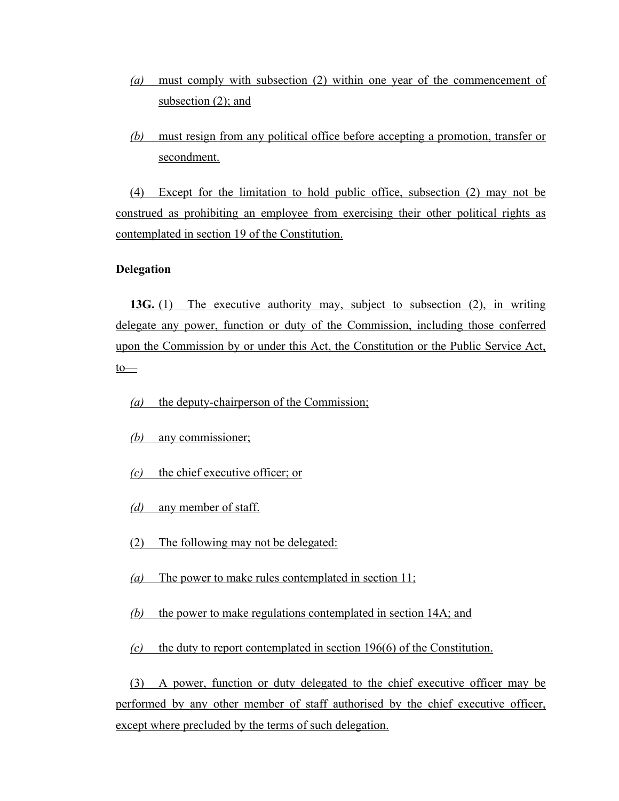- *(a)* must comply with subsection (2) within one year of the commencement of subsection (2); and
- *(b)* must resign from any political office before accepting a promotion, transfer or secondment.

(4) Except for the limitation to hold public office, subsection (2) may not be construed as prohibiting an employee from exercising their other political rights as contemplated in section 19 of the Constitution.

#### **Delegation**

**13G.** (1) The executive authority may, subject to subsection (2), in writing delegate any power, function or duty of the Commission, including those conferred upon the Commission by or under this Act, the Constitution or the Public Service Act,  $to$ —

*(a)* the deputy-chairperson of the Commission;

- *(b)* any commissioner;
- *(c)* the chief executive officer; or
- *(d)* any member of staff.
- (2) The following may not be delegated:
- *(a)* The power to make rules contemplated in section 11;
- *(b)* the power to make regulations contemplated in section 14A; and

*(c)* the duty to report contemplated in section 196(6) of the Constitution.

(3) A power, function or duty delegated to the chief executive officer may be performed by any other member of staff authorised by the chief executive officer, except where precluded by the terms of such delegation.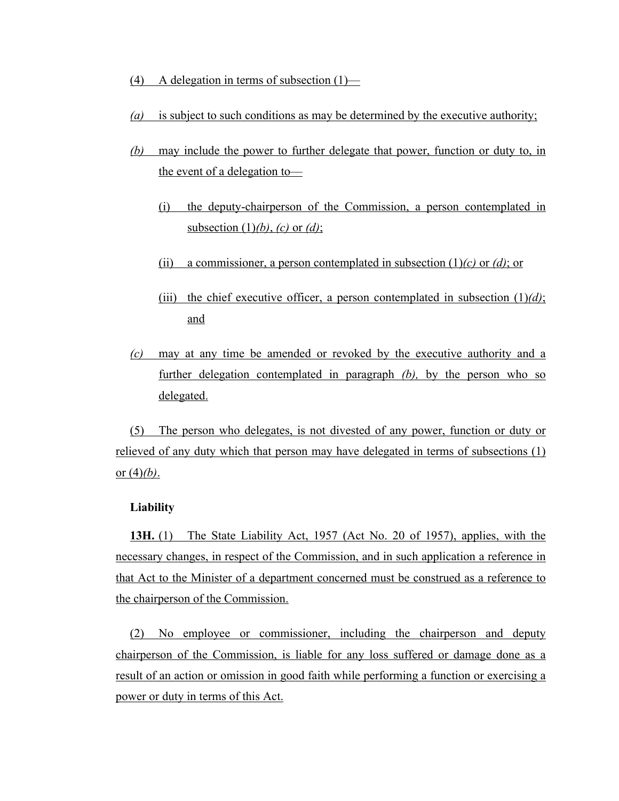- (4) A delegation in terms of subsection  $(1)$ —
- *(a)* is subject to such conditions as may be determined by the executive authority;
- *(b)* may include the power to further delegate that power, function or duty to, in the event of a delegation to—
	- (i) the deputy-chairperson of the Commission, a person contemplated in subsection (1)*(b)*, *(c)* or *(d)*;
	- (ii) a commissioner, a person contemplated in subsection (1)*(c)* or *(d)*; or
	- (iii) the chief executive officer, a person contemplated in subsection  $(1)/d$ ); and
- *(c)* may at any time be amended or revoked by the executive authority and a further delegation contemplated in paragraph *(b),* by the person who so delegated.

(5) The person who delegates, is not divested of any power, function or duty or relieved of any duty which that person may have delegated in terms of subsections (1) or (4)*(b)*.

#### **Liability**

**13H.** (1) The State Liability Act, 1957 (Act No. 20 of 1957), applies, with the necessary changes, in respect of the Commission, and in such application a reference in that Act to the Minister of a department concerned must be construed as a reference to the chairperson of the Commission.

(2) No employee or commissioner, including the chairperson and deputy chairperson of the Commission, is liable for any loss suffered or damage done as a result of an action or omission in good faith while performing a function or exercising a power or duty in terms of this Act.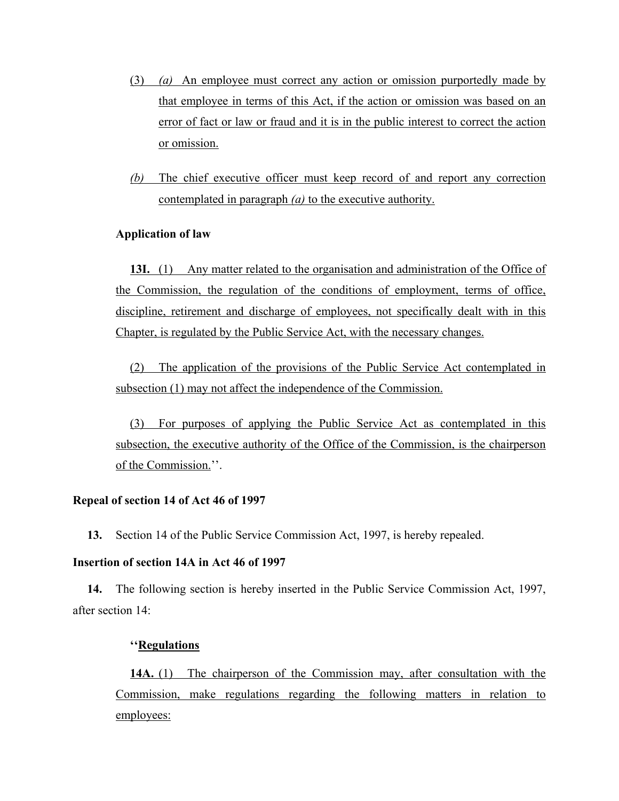- (3) *(a)* An employee must correct any action or omission purportedly made by that employee in terms of this Act, if the action or omission was based on an error of fact or law or fraud and it is in the public interest to correct the action or omission.
- *(b)* The chief executive officer must keep record of and report any correction contemplated in paragraph *(a)* to the executive authority.

### **Application of law**

**13I.** (1) Any matter related to the organisation and administration of the Office of the Commission, the regulation of the conditions of employment, terms of office, discipline, retirement and discharge of employees, not specifically dealt with in this Chapter, is regulated by the Public Service Act, with the necessary changes.

(2) The application of the provisions of the Public Service Act contemplated in subsection (1) may not affect the independence of the Commission.

(3) For purposes of applying the Public Service Act as contemplated in this subsection, the executive authority of the Office of the Commission, is the chairperson of the Commission.''.

### **Repeal of section 14 of Act 46 of 1997**

**13.** Section 14 of the Public Service Commission Act, 1997, is hereby repealed.

## **Insertion of section 14A in Act 46 of 1997**

**14.** The following section is hereby inserted in the Public Service Commission Act, 1997, after section 14:

### **''Regulations**

**14A.** (1) The chairperson of the Commission may, after consultation with the Commission, make regulations regarding the following matters in relation to employees: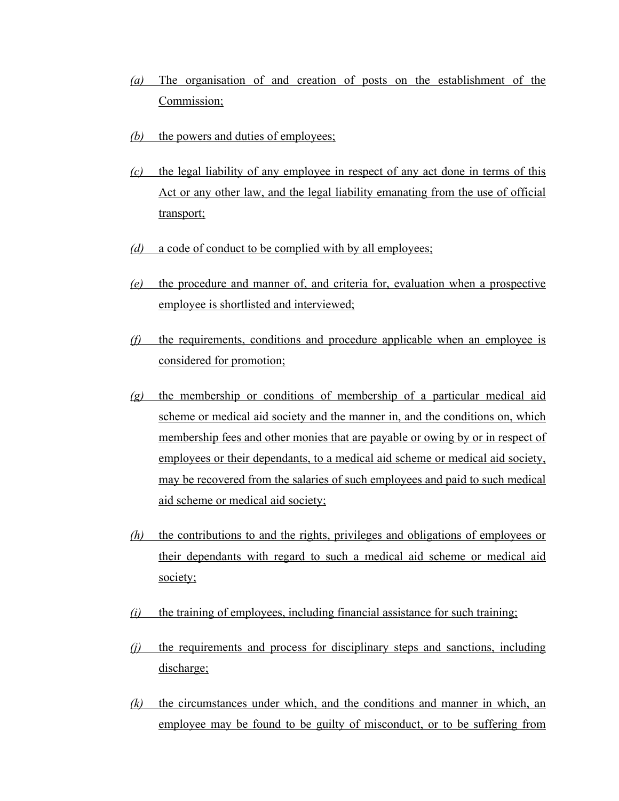- *(a)* The organisation of and creation of posts on the establishment of the Commission;
- *(b)* the powers and duties of employees;
- *(c)* the legal liability of any employee in respect of any act done in terms of this Act or any other law, and the legal liability emanating from the use of official transport;
- *(d)* a code of conduct to be complied with by all employees;
- *(e)* the procedure and manner of, and criteria for, evaluation when a prospective employee is shortlisted and interviewed;
- *(f)* the requirements, conditions and procedure applicable when an employee is considered for promotion;
- *(g)* the membership or conditions of membership of a particular medical aid scheme or medical aid society and the manner in, and the conditions on, which membership fees and other monies that are payable or owing by or in respect of employees or their dependants, to a medical aid scheme or medical aid society, may be recovered from the salaries of such employees and paid to such medical aid scheme or medical aid society;
- *(h)* the contributions to and the rights, privileges and obligations of employees or their dependants with regard to such a medical aid scheme or medical aid society;
- *(i)* the training of employees, including financial assistance for such training;
- *(j)* the requirements and process for disciplinary steps and sanctions, including discharge;
- *(k)* the circumstances under which, and the conditions and manner in which, an employee may be found to be guilty of misconduct, or to be suffering from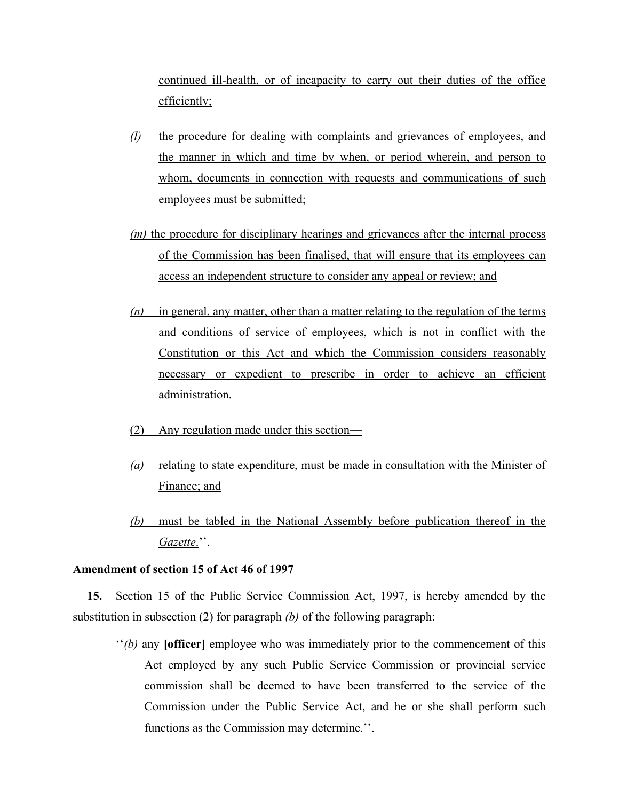continued ill-health, or of incapacity to carry out their duties of the office efficiently;

- *(l)* the procedure for dealing with complaints and grievances of employees, and the manner in which and time by when, or period wherein, and person to whom, documents in connection with requests and communications of such employees must be submitted;
- *(m)* the procedure for disciplinary hearings and grievances after the internal process of the Commission has been finalised, that will ensure that its employees can access an independent structure to consider any appeal or review; and
- *(n)* in general, any matter, other than a matter relating to the regulation of the terms and conditions of service of employees, which is not in conflict with the Constitution or this Act and which the Commission considers reasonably necessary or expedient to prescribe in order to achieve an efficient administration.
- (2) Any regulation made under this section—
- *(a)* relating to state expenditure, must be made in consultation with the Minister of Finance; and
- *(b)* must be tabled in the National Assembly before publication thereof in the *Gazette*.''.

#### **Amendment of section 15 of Act 46 of 1997**

**15.** Section 15 of the Public Service Commission Act, 1997, is hereby amended by the substitution in subsection (2) for paragraph *(b)* of the following paragraph:

''*(b)* any **[officer]** employee who was immediately prior to the commencement of this Act employed by any such Public Service Commission or provincial service commission shall be deemed to have been transferred to the service of the Commission under the Public Service Act, and he or she shall perform such functions as the Commission may determine.''.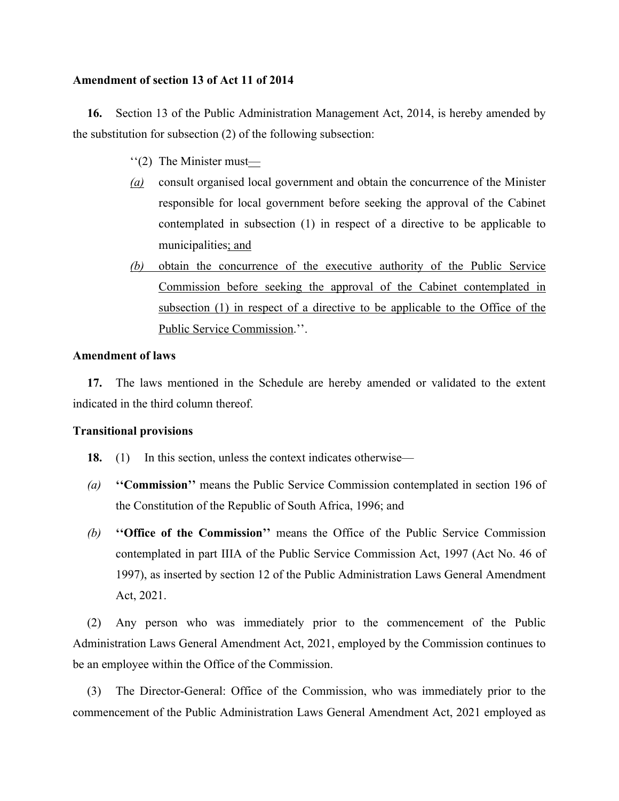#### **Amendment of section 13 of Act 11 of 2014**

**16.** Section 13 of the Public Administration Management Act, 2014, is hereby amended by the substitution for subsection (2) of the following subsection:

- ''(2) The Minister must—
- *(a)* consult organised local government and obtain the concurrence of the Minister responsible for local government before seeking the approval of the Cabinet contemplated in subsection (1) in respect of a directive to be applicable to municipalities; and
- *(b)* obtain the concurrence of the executive authority of the Public Service Commission before seeking the approval of the Cabinet contemplated in subsection (1) in respect of a directive to be applicable to the Office of the Public Service Commission.''.

#### **Amendment of laws**

**17.** The laws mentioned in the Schedule are hereby amended or validated to the extent indicated in the third column thereof.

#### **Transitional provisions**

- **18.** (1) In this section, unless the context indicates otherwise—
- *(a)* **''Commission''** means the Public Service Commission contemplated in section 196 of the Constitution of the Republic of South Africa, 1996; and
- *(b)* **''Office of the Commission''** means the Office of the Public Service Commission contemplated in part IIIA of the Public Service Commission Act, 1997 (Act No. 46 of 1997), as inserted by section 12 of the Public Administration Laws General Amendment Act, 2021.

(2) Any person who was immediately prior to the commencement of the Public Administration Laws General Amendment Act, 2021, employed by the Commission continues to be an employee within the Office of the Commission.

(3) The Director-General: Office of the Commission, who was immediately prior to the commencement of the Public Administration Laws General Amendment Act, 2021 employed as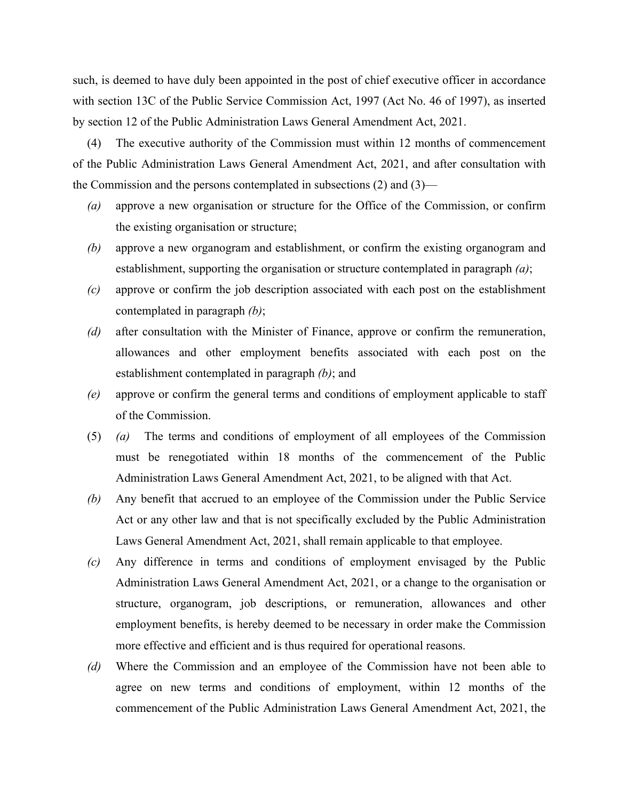such, is deemed to have duly been appointed in the post of chief executive officer in accordance with section 13C of the Public Service Commission Act, 1997 (Act No. 46 of 1997), as inserted by section 12 of the Public Administration Laws General Amendment Act, 2021.

(4) The executive authority of the Commission must within 12 months of commencement of the Public Administration Laws General Amendment Act, 2021, and after consultation with the Commission and the persons contemplated in subsections (2) and (3)—

- *(a)* approve a new organisation or structure for the Office of the Commission, or confirm the existing organisation or structure;
- *(b)* approve a new organogram and establishment, or confirm the existing organogram and establishment, supporting the organisation or structure contemplated in paragraph *(a)*;
- *(c)* approve or confirm the job description associated with each post on the establishment contemplated in paragraph *(b)*;
- *(d)* after consultation with the Minister of Finance, approve or confirm the remuneration, allowances and other employment benefits associated with each post on the establishment contemplated in paragraph *(b)*; and
- *(e)* approve or confirm the general terms and conditions of employment applicable to staff of the Commission.
- (5) *(a)* The terms and conditions of employment of all employees of the Commission must be renegotiated within 18 months of the commencement of the Public Administration Laws General Amendment Act, 2021, to be aligned with that Act.
- *(b)* Any benefit that accrued to an employee of the Commission under the Public Service Act or any other law and that is not specifically excluded by the Public Administration Laws General Amendment Act, 2021, shall remain applicable to that employee.
- *(c)* Any difference in terms and conditions of employment envisaged by the Public Administration Laws General Amendment Act, 2021, or a change to the organisation or structure, organogram, job descriptions, or remuneration, allowances and other employment benefits, is hereby deemed to be necessary in order make the Commission more effective and efficient and is thus required for operational reasons.
- *(d)* Where the Commission and an employee of the Commission have not been able to agree on new terms and conditions of employment, within 12 months of the commencement of the Public Administration Laws General Amendment Act, 2021, the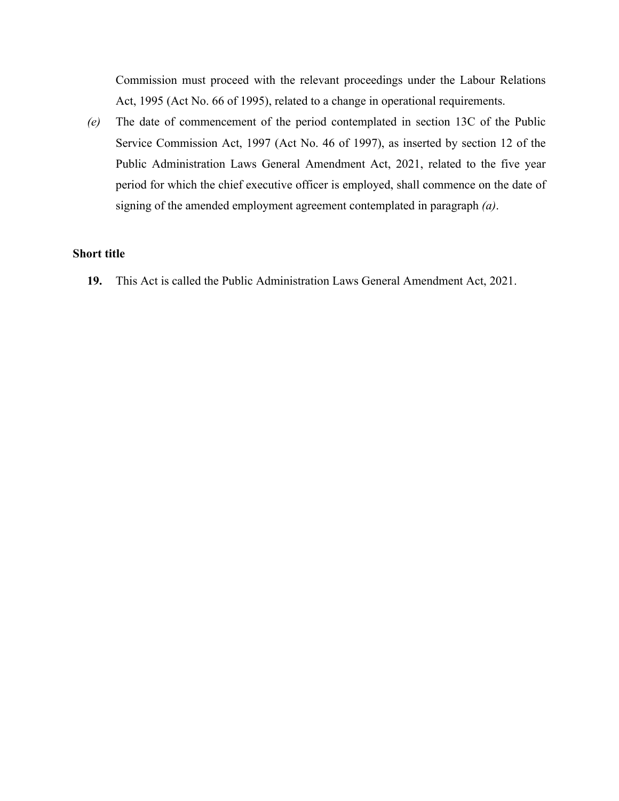Commission must proceed with the relevant proceedings under the Labour Relations Act, 1995 (Act No. 66 of 1995), related to a change in operational requirements.

*(e)* The date of commencement of the period contemplated in section 13C of the Public Service Commission Act, 1997 (Act No. 46 of 1997), as inserted by section 12 of the Public Administration Laws General Amendment Act, 2021, related to the five year period for which the chief executive officer is employed, shall commence on the date of signing of the amended employment agreement contemplated in paragraph *(a)*.

#### **Short title**

**19.** This Act is called the Public Administration Laws General Amendment Act, 2021.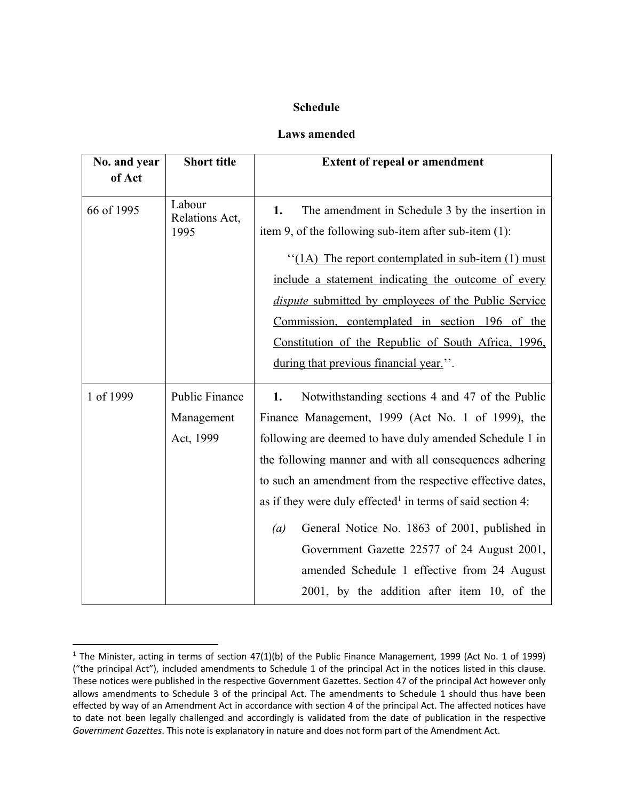## **Schedule**

## **Laws amended**

| No. and year<br>of Act | <b>Short title</b>                        | <b>Extent of repeal or amendment</b>                                                                                                                                                                                                                                                                                                                                                                                                                                                                                                                                                      |
|------------------------|-------------------------------------------|-------------------------------------------------------------------------------------------------------------------------------------------------------------------------------------------------------------------------------------------------------------------------------------------------------------------------------------------------------------------------------------------------------------------------------------------------------------------------------------------------------------------------------------------------------------------------------------------|
| 66 of 1995             | Labour<br>Relations Act,<br>1995          | The amendment in Schedule 3 by the insertion in<br>1.<br>item 9, of the following sub-item after sub-item $(1)$ :<br>"(1A) The report contemplated in sub-item $(1)$ must<br>include a statement indicating the outcome of every<br><i>dispute</i> submitted by employees of the Public Service<br>Commission, contemplated in section 196 of the<br>Constitution of the Republic of South Africa, 1996.<br>during that previous financial year.".                                                                                                                                        |
| 1 of 1999              | Public Finance<br>Management<br>Act, 1999 | 1.<br>Notwithstanding sections 4 and 47 of the Public<br>Finance Management, 1999 (Act No. 1 of 1999), the<br>following are deemed to have duly amended Schedule 1 in<br>the following manner and with all consequences adhering<br>to such an amendment from the respective effective dates,<br>as if they were duly effected <sup>1</sup> in terms of said section 4:<br>General Notice No. 1863 of 2001, published in<br>$\left(a\right)$<br>Government Gazette 22577 of 24 August 2001,<br>amended Schedule 1 effective from 24 August<br>2001, by the addition after item 10, of the |

 $1$  The Minister, acting in terms of section 47(1)(b) of the Public Finance Management, 1999 (Act No. 1 of 1999) ("the principal Act"), included amendments to Schedule 1 of the principal Act in the notices listed in this clause. These notices were published in the respective Government Gazettes. Section 47 of the principal Act however only allows amendments to Schedule 3 of the principal Act. The amendments to Schedule 1 should thus have been effected by way of an Amendment Act in accordance with section 4 of the principal Act. The affected notices have to date not been legally challenged and accordingly is validated from the date of publication in the respective *Government Gazettes*. This note is explanatory in nature and does not form part of the Amendment Act.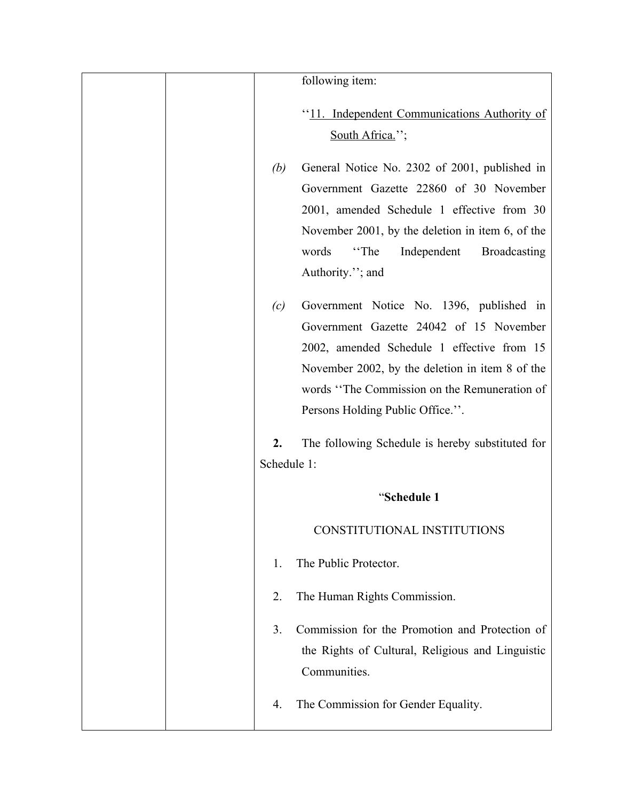|  |             | following item:                                     |
|--|-------------|-----------------------------------------------------|
|  |             |                                                     |
|  |             | "11. Independent Communications Authority of        |
|  |             | South Africa.";                                     |
|  | (b)         | General Notice No. 2302 of 2001, published in       |
|  |             | Government Gazette 22860 of 30 November             |
|  |             | 2001, amended Schedule 1 effective from 30          |
|  |             | November 2001, by the deletion in item 6, of the    |
|  |             | words<br>"The<br>Independent<br><b>Broadcasting</b> |
|  |             | Authority."; and                                    |
|  | (c)         | Government Notice No. 1396, published in            |
|  |             | Government Gazette 24042 of 15 November             |
|  |             | 2002, amended Schedule 1 effective from 15          |
|  |             | November 2002, by the deletion in item 8 of the     |
|  |             | words "The Commission on the Remuneration of        |
|  |             | Persons Holding Public Office.".                    |
|  | 2.          | The following Schedule is hereby substituted for    |
|  | Schedule 1: |                                                     |
|  |             | "Schedule 1                                         |
|  |             | CONSTITUTIONAL INSTITUTIONS                         |
|  | 1.          | The Public Protector.                               |
|  | 2.          | The Human Rights Commission.                        |
|  | 3.          | Commission for the Promotion and Protection of      |
|  |             | the Rights of Cultural, Religious and Linguistic    |
|  |             | Communities.                                        |
|  | 4.          | The Commission for Gender Equality.                 |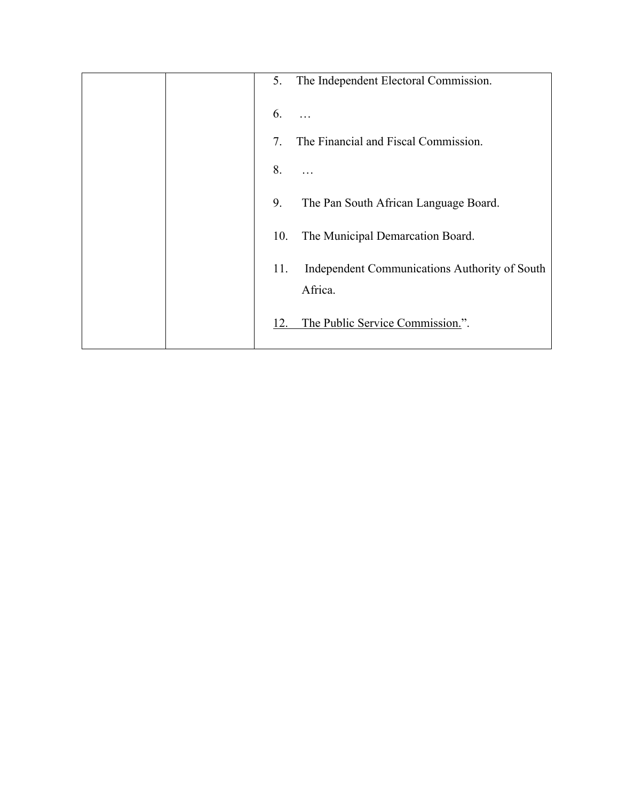|  | The Independent Electoral Commission.<br>5.                     |
|--|-----------------------------------------------------------------|
|  | 6.                                                              |
|  | The Financial and Fiscal Commission.<br>7.                      |
|  | 8.                                                              |
|  | 9.<br>The Pan South African Language Board.                     |
|  | The Municipal Demarcation Board.<br>10.                         |
|  | Independent Communications Authority of South<br>11.<br>Africa. |
|  | The Public Service Commission.".<br>12.                         |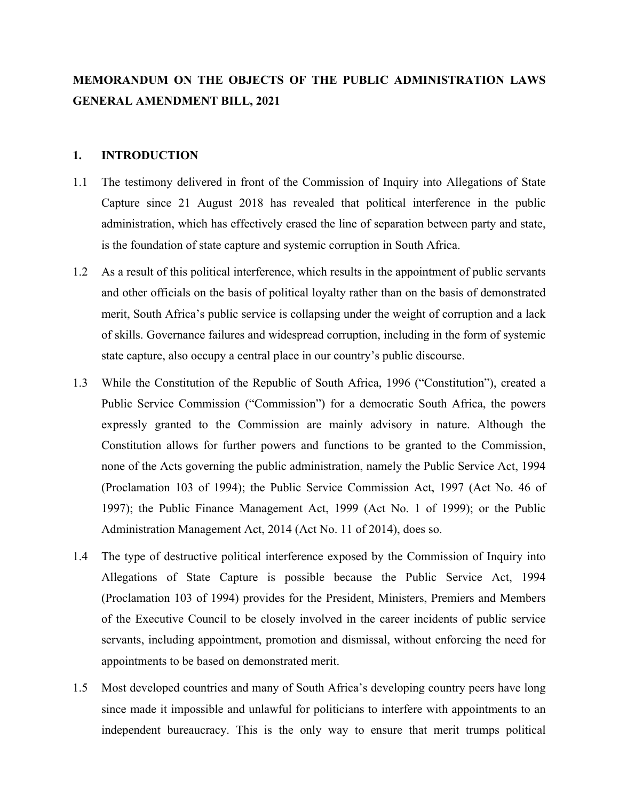# **MEMORANDUM ON THE OBJECTS OF THE PUBLIC ADMINISTRATION LAWS GENERAL AMENDMENT BILL, 2021**

#### **1. INTRODUCTION**

- 1.1 The testimony delivered in front of the Commission of Inquiry into Allegations of State Capture since 21 August 2018 has revealed that political interference in the public administration, which has effectively erased the line of separation between party and state, is the foundation of state capture and systemic corruption in South Africa.
- 1.2 As a result of this political interference, which results in the appointment of public servants and other officials on the basis of political loyalty rather than on the basis of demonstrated merit, South Africa's public service is collapsing under the weight of corruption and a lack of skills. Governance failures and widespread corruption, including in the form of systemic state capture, also occupy a central place in our country's public discourse.
- 1.3 While the Constitution of the Republic of South Africa, 1996 ("Constitution"), created a Public Service Commission ("Commission") for a democratic South Africa, the powers expressly granted to the Commission are mainly advisory in nature. Although the Constitution allows for further powers and functions to be granted to the Commission, none of the Acts governing the public administration, namely the Public Service Act, 1994 (Proclamation 103 of 1994); the Public Service Commission Act, 1997 (Act No. 46 of 1997); the Public Finance Management Act, 1999 (Act No. 1 of 1999); or the Public Administration Management Act, 2014 (Act No. 11 of 2014), does so.
- 1.4 The type of destructive political interference exposed by the Commission of Inquiry into Allegations of State Capture is possible because the Public Service Act, 1994 (Proclamation 103 of 1994) provides for the President, Ministers, Premiers and Members of the Executive Council to be closely involved in the career incidents of public service servants, including appointment, promotion and dismissal, without enforcing the need for appointments to be based on demonstrated merit.
- 1.5 Most developed countries and many of South Africa's developing country peers have long since made it impossible and unlawful for politicians to interfere with appointments to an independent bureaucracy. This is the only way to ensure that merit trumps political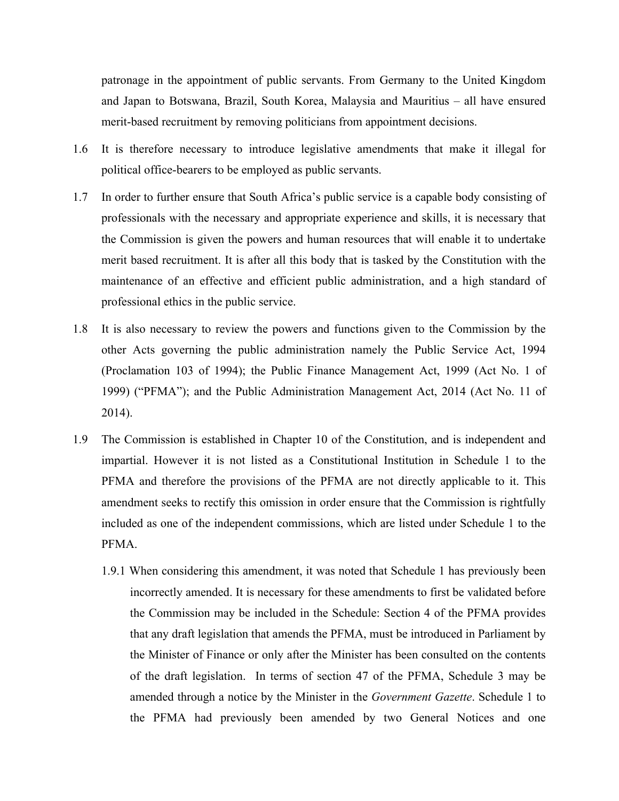patronage in the appointment of public servants. From Germany to the United Kingdom and Japan to Botswana, Brazil, South Korea, Malaysia and Mauritius – all have ensured merit-based recruitment by removing politicians from appointment decisions.

- 1.6 It is therefore necessary to introduce legislative amendments that make it illegal for political office-bearers to be employed as public servants.
- 1.7 In order to further ensure that South Africa's public service is a capable body consisting of professionals with the necessary and appropriate experience and skills, it is necessary that the Commission is given the powers and human resources that will enable it to undertake merit based recruitment. It is after all this body that is tasked by the Constitution with the maintenance of an effective and efficient public administration, and a high standard of professional ethics in the public service.
- 1.8 It is also necessary to review the powers and functions given to the Commission by the other Acts governing the public administration namely the Public Service Act, 1994 (Proclamation 103 of 1994); the Public Finance Management Act, 1999 (Act No. 1 of 1999) ("PFMA"); and the Public Administration Management Act, 2014 (Act No. 11 of 2014).
- 1.9 The Commission is established in Chapter 10 of the Constitution, and is independent and impartial. However it is not listed as a Constitutional Institution in Schedule 1 to the PFMA and therefore the provisions of the PFMA are not directly applicable to it. This amendment seeks to rectify this omission in order ensure that the Commission is rightfully included as one of the independent commissions, which are listed under Schedule 1 to the PFMA.
	- 1.9.1 When considering this amendment, it was noted that Schedule 1 has previously been incorrectly amended. It is necessary for these amendments to first be validated before the Commission may be included in the Schedule: Section 4 of the PFMA provides that any draft legislation that amends the PFMA, must be introduced in Parliament by the Minister of Finance or only after the Minister has been consulted on the contents of the draft legislation. In terms of section 47 of the PFMA, Schedule 3 may be amended through a notice by the Minister in the *Government Gazette*. Schedule 1 to the PFMA had previously been amended by two General Notices and one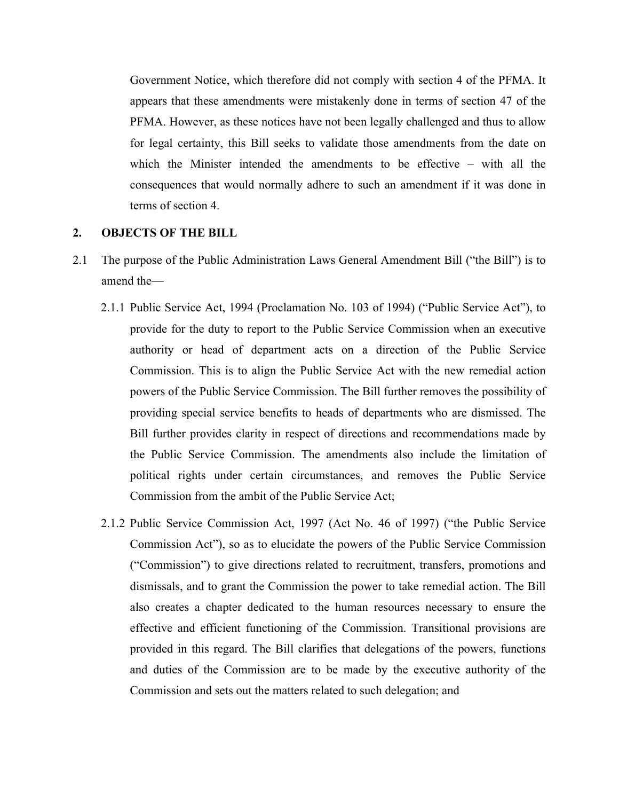Government Notice, which therefore did not comply with section 4 of the PFMA. It appears that these amendments were mistakenly done in terms of section 47 of the PFMA. However, as these notices have not been legally challenged and thus to allow for legal certainty, this Bill seeks to validate those amendments from the date on which the Minister intended the amendments to be effective – with all the consequences that would normally adhere to such an amendment if it was done in terms of section 4.

#### **2. OBJECTS OF THE BILL**

- 2.1 The purpose of the Public Administration Laws General Amendment Bill ("the Bill") is to amend the—
	- 2.1.1 Public Service Act, 1994 (Proclamation No. 103 of 1994) ("Public Service Act"), to provide for the duty to report to the Public Service Commission when an executive authority or head of department acts on a direction of the Public Service Commission. This is to align the Public Service Act with the new remedial action powers of the Public Service Commission. The Bill further removes the possibility of providing special service benefits to heads of departments who are dismissed. The Bill further provides clarity in respect of directions and recommendations made by the Public Service Commission. The amendments also include the limitation of political rights under certain circumstances, and removes the Public Service Commission from the ambit of the Public Service Act;
	- 2.1.2 Public Service Commission Act, 1997 (Act No. 46 of 1997) ("the Public Service Commission Act"), so as to elucidate the powers of the Public Service Commission ("Commission") to give directions related to recruitment, transfers, promotions and dismissals, and to grant the Commission the power to take remedial action. The Bill also creates a chapter dedicated to the human resources necessary to ensure the effective and efficient functioning of the Commission. Transitional provisions are provided in this regard. The Bill clarifies that delegations of the powers, functions and duties of the Commission are to be made by the executive authority of the Commission and sets out the matters related to such delegation; and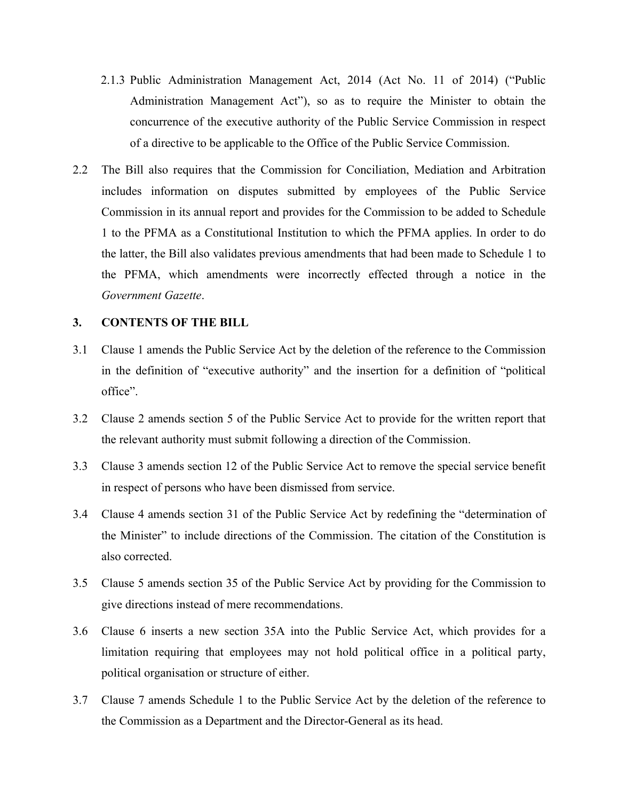- 2.1.3 Public Administration Management Act, 2014 (Act No. 11 of 2014) ("Public Administration Management Act"), so as to require the Minister to obtain the concurrence of the executive authority of the Public Service Commission in respect of a directive to be applicable to the Office of the Public Service Commission.
- 2.2 The Bill also requires that the Commission for Conciliation, Mediation and Arbitration includes information on disputes submitted by employees of the Public Service Commission in its annual report and provides for the Commission to be added to Schedule 1 to the PFMA as a Constitutional Institution to which the PFMA applies. In order to do the latter, the Bill also validates previous amendments that had been made to Schedule 1 to the PFMA, which amendments were incorrectly effected through a notice in the *Government Gazette*.

### **3. CONTENTS OF THE BILL**

- 3.1 Clause 1 amends the Public Service Act by the deletion of the reference to the Commission in the definition of "executive authority" and the insertion for a definition of "political office".
- 3.2 Clause 2 amends section 5 of the Public Service Act to provide for the written report that the relevant authority must submit following a direction of the Commission.
- 3.3 Clause 3 amends section 12 of the Public Service Act to remove the special service benefit in respect of persons who have been dismissed from service.
- 3.4 Clause 4 amends section 31 of the Public Service Act by redefining the "determination of the Minister" to include directions of the Commission. The citation of the Constitution is also corrected.
- 3.5 Clause 5 amends section 35 of the Public Service Act by providing for the Commission to give directions instead of mere recommendations.
- 3.6 Clause 6 inserts a new section 35A into the Public Service Act, which provides for a limitation requiring that employees may not hold political office in a political party, political organisation or structure of either.
- 3.7 Clause 7 amends Schedule 1 to the Public Service Act by the deletion of the reference to the Commission as a Department and the Director-General as its head.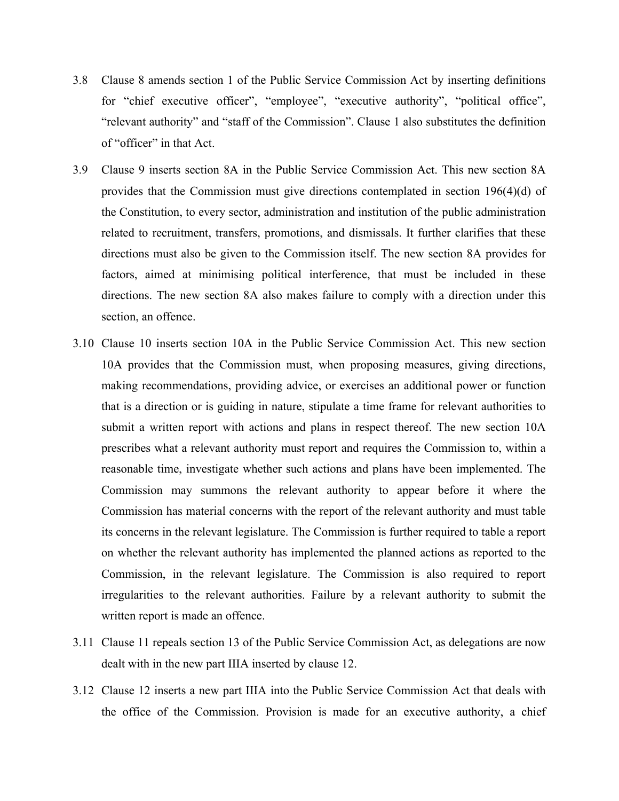- 3.8 Clause 8 amends section 1 of the Public Service Commission Act by inserting definitions for "chief executive officer", "employee", "executive authority", "political office", "relevant authority" and "staff of the Commission". Clause 1 also substitutes the definition of "officer" in that Act.
- 3.9 Clause 9 inserts section 8A in the Public Service Commission Act. This new section 8A provides that the Commission must give directions contemplated in section 196(4)(d) of the Constitution, to every sector, administration and institution of the public administration related to recruitment, transfers, promotions, and dismissals. It further clarifies that these directions must also be given to the Commission itself. The new section 8A provides for factors, aimed at minimising political interference, that must be included in these directions. The new section 8A also makes failure to comply with a direction under this section, an offence.
- 3.10 Clause 10 inserts section 10A in the Public Service Commission Act. This new section 10A provides that the Commission must, when proposing measures, giving directions, making recommendations, providing advice, or exercises an additional power or function that is a direction or is guiding in nature, stipulate a time frame for relevant authorities to submit a written report with actions and plans in respect thereof. The new section 10A prescribes what a relevant authority must report and requires the Commission to, within a reasonable time, investigate whether such actions and plans have been implemented. The Commission may summons the relevant authority to appear before it where the Commission has material concerns with the report of the relevant authority and must table its concerns in the relevant legislature. The Commission is further required to table a report on whether the relevant authority has implemented the planned actions as reported to the Commission, in the relevant legislature. The Commission is also required to report irregularities to the relevant authorities. Failure by a relevant authority to submit the written report is made an offence.
- 3.11 Clause 11 repeals section 13 of the Public Service Commission Act, as delegations are now dealt with in the new part IIIA inserted by clause 12.
- 3.12 Clause 12 inserts a new part IIIA into the Public Service Commission Act that deals with the office of the Commission. Provision is made for an executive authority, a chief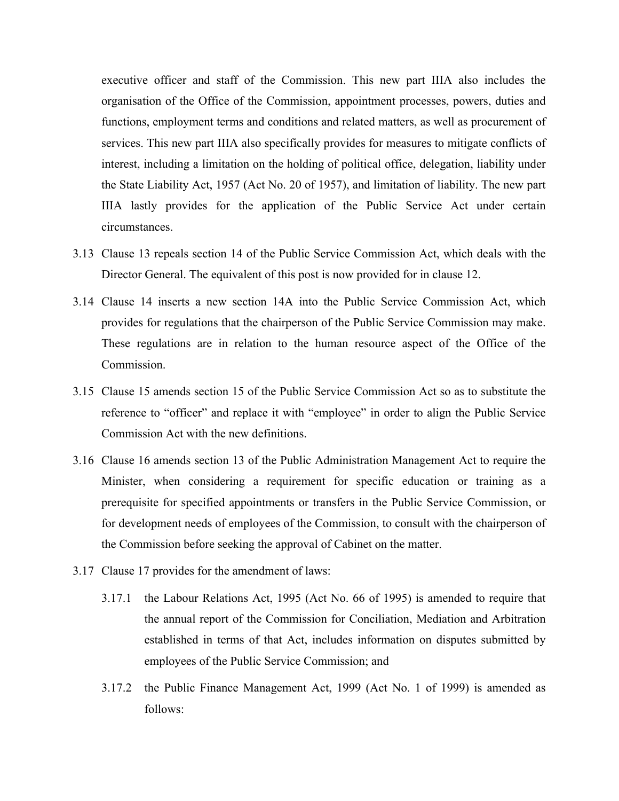executive officer and staff of the Commission. This new part IIIA also includes the organisation of the Office of the Commission, appointment processes, powers, duties and functions, employment terms and conditions and related matters, as well as procurement of services. This new part IIIA also specifically provides for measures to mitigate conflicts of interest, including a limitation on the holding of political office, delegation, liability under the State Liability Act, 1957 (Act No. 20 of 1957), and limitation of liability. The new part IIIA lastly provides for the application of the Public Service Act under certain circumstances.

- 3.13 Clause 13 repeals section 14 of the Public Service Commission Act, which deals with the Director General. The equivalent of this post is now provided for in clause 12.
- 3.14 Clause 14 inserts a new section 14A into the Public Service Commission Act, which provides for regulations that the chairperson of the Public Service Commission may make. These regulations are in relation to the human resource aspect of the Office of the Commission.
- 3.15 Clause 15 amends section 15 of the Public Service Commission Act so as to substitute the reference to "officer" and replace it with "employee" in order to align the Public Service Commission Act with the new definitions.
- 3.16 Clause 16 amends section 13 of the Public Administration Management Act to require the Minister, when considering a requirement for specific education or training as a prerequisite for specified appointments or transfers in the Public Service Commission, or for development needs of employees of the Commission, to consult with the chairperson of the Commission before seeking the approval of Cabinet on the matter.
- 3.17 Clause 17 provides for the amendment of laws:
	- 3.17.1 the Labour Relations Act, 1995 (Act No. 66 of 1995) is amended to require that the annual report of the Commission for Conciliation, Mediation and Arbitration established in terms of that Act, includes information on disputes submitted by employees of the Public Service Commission; and
	- 3.17.2 the Public Finance Management Act, 1999 (Act No. 1 of 1999) is amended as follows: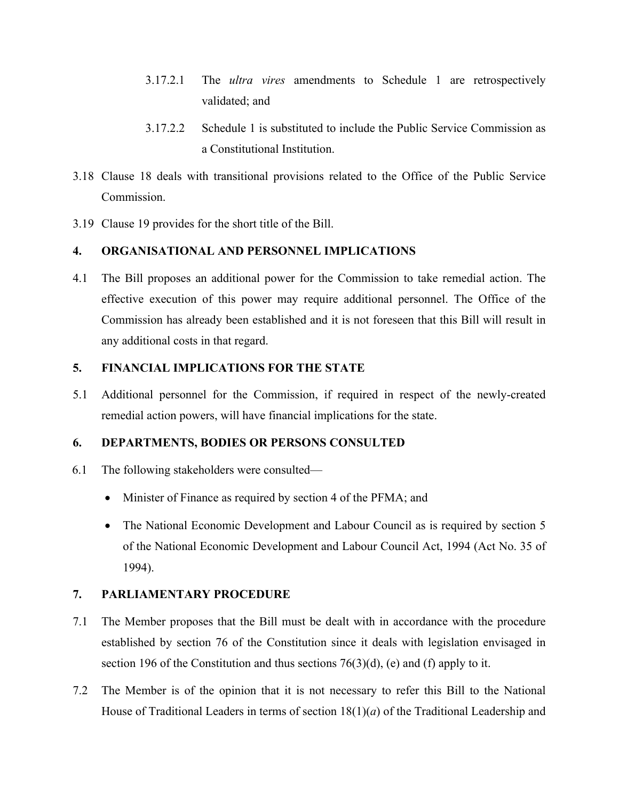- 3.17.2.1 The *ultra vires* amendments to Schedule 1 are retrospectively validated; and
- 3.17.2.2 Schedule 1 is substituted to include the Public Service Commission as a Constitutional Institution.
- 3.18 Clause 18 deals with transitional provisions related to the Office of the Public Service Commission.
- 3.19 Clause 19 provides for the short title of the Bill.

## **4. ORGANISATIONAL AND PERSONNEL IMPLICATIONS**

4.1 The Bill proposes an additional power for the Commission to take remedial action. The effective execution of this power may require additional personnel. The Office of the Commission has already been established and it is not foreseen that this Bill will result in any additional costs in that regard.

## **5. FINANCIAL IMPLICATIONS FOR THE STATE**

5.1 Additional personnel for the Commission, if required in respect of the newly-created remedial action powers, will have financial implications for the state.

## **6. DEPARTMENTS, BODIES OR PERSONS CONSULTED**

- 6.1 The following stakeholders were consulted—
	- Minister of Finance as required by section 4 of the PFMA; and
	- The National Economic Development and Labour Council as is required by section 5 of the National Economic Development and Labour Council Act, 1994 (Act No. 35 of 1994).

## **7. PARLIAMENTARY PROCEDURE**

- 7.1 The Member proposes that the Bill must be dealt with in accordance with the procedure established by section 76 of the Constitution since it deals with legislation envisaged in section 196 of the Constitution and thus sections  $76(3)(d)$ , (e) and (f) apply to it.
- 7.2 The Member is of the opinion that it is not necessary to refer this Bill to the National House of Traditional Leaders in terms of section 18(1)(*a*) of the Traditional Leadership and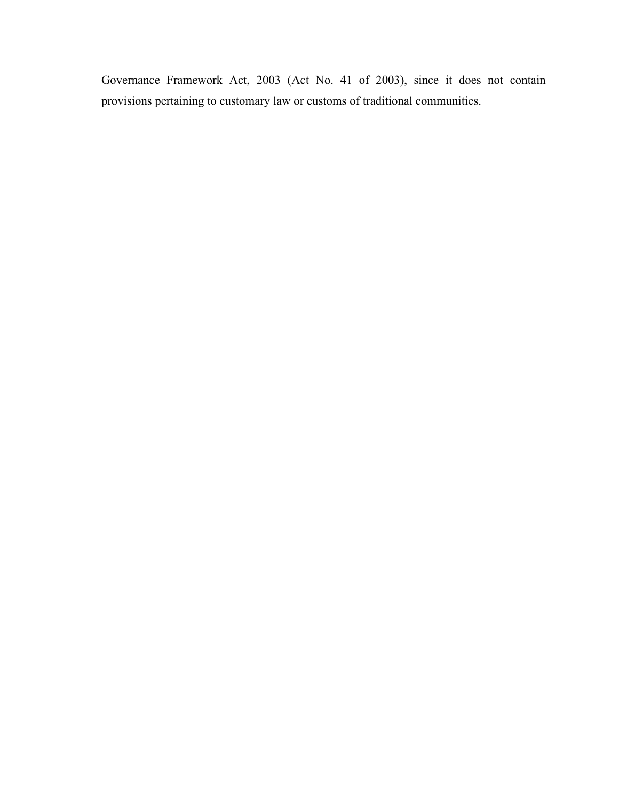Governance Framework Act, 2003 (Act No. 41 of 2003), since it does not contain provisions pertaining to customary law or customs of traditional communities.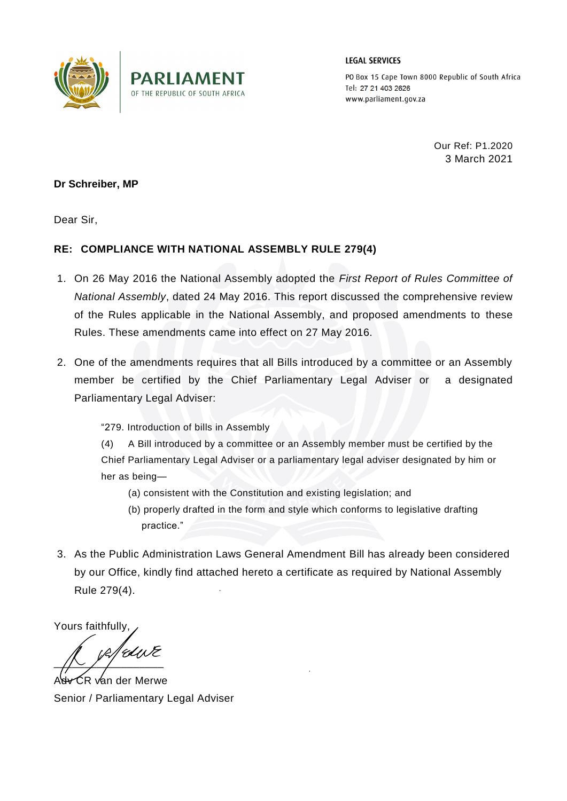

**LEGAL SERVICES** 

PO Box 15 Cape Town 8000 Republic of South Africa Tel: 27 21 403 2626 www.parliament.gov.za

> Our Ref: P1.2020 3 March 2021

## **Dr Schreiber, MP**

Dear Sir,

## **RE: COMPLIANCE WITH NATIONAL ASSEMBLY RULE 279(4)**

- 1. On 26 May 2016 the National Assembly adopted the *First Report of Rules Committee of National Assembly*, dated 24 May 2016. This report discussed the comprehensive review of the Rules applicable in the National Assembly, and proposed amendments to these Rules. These amendments came into effect on 27 May 2016.
- 2. One of the amendments requires that all Bills introduced by a committee or an Assembly member be certified by the Chief Parliamentary Legal Adviser or a designated Parliamentary Legal Adviser:

"279. Introduction of bills in Assembly

(4) A Bill introduced by a committee or an Assembly member must be certified by the Chief Parliamentary Legal Adviser or a parliamentary legal adviser designated by him or her as being—

- (a) consistent with the Constitution and existing legislation; and
- (b) properly drafted in the form and style which conforms to legislative drafting practice."
- 3. As the Public Administration Laws General Amendment Bill has already been considered by our Office, kindly find attached hereto a certificate as required by National Assembly Rule 279(4).

Yours faithfully,

4dir R  $\sqrt{2}$  /  $\sqrt{2}$ 

 $\Im$ R van der Merwe Senior / Parliamentary Legal Adviser